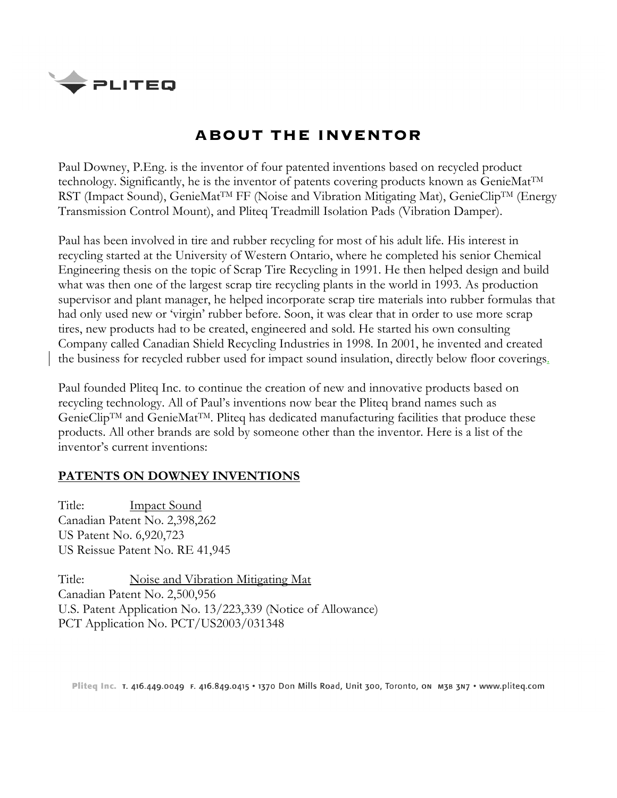

## **ABOUT THE INVENTOR**

Paul Downey, P.Eng. is the inventor of four patented inventions based on recycled product technology. Significantly, he is the inventor of patents covering products known as GenieMatTM RST (Impact Sound), GenieMat<sup>TM</sup> FF (Noise and Vibration Mitigating Mat), GenieClip<sup>TM</sup> (Energy Transmission Control Mount), and Pliteq Treadmill Isolation Pads (Vibration Damper).

Paul has been involved in tire and rubber recycling for most of his adult life. His interest in recycling started at the University of Western Ontario, where he completed his senior Chemical Engineering thesis on the topic of Scrap Tire Recycling in 1991. He then helped design and build what was then one of the largest scrap tire recycling plants in the world in 1993. As production supervisor and plant manager, he helped incorporate scrap tire materials into rubber formulas that had only used new or 'virgin' rubber before. Soon, it was clear that in order to use more scrap tires, new products had to be created, engineered and sold. He started his own consulting Company called Canadian Shield Recycling Industries in 1998. In 2001, he invented and created the business for recycled rubber used for impact sound insulation, directly below floor coverings.

Paul founded Pliteq Inc. to continue the creation of new and innovative products based on recycling technology. All of Paul's inventions now bear the Pliteq brand names such as GenieClipTM and GenieMatTM. Pliteq has dedicated manufacturing facilities that produce these products. All other brands are sold by someone other than the inventor. Here is a list of the inventor's current inventions:

## **PATENTS ON DOWNEY INVENTIONS**

Title: Impact Sound Canadian Patent No. 2,398,262 US Patent No. 6,920,723 US Reissue Patent No. RE 41,945

Title: Noise and Vibration Mitigating Mat Canadian Patent No. 2,500,956 U.S. Patent Application No. 13/223,339 (Notice of Allowance) PCT Application No. PCT/US2003/031348

Pliteq Inc. T. 416.449.0049 F. 416.849.0415 . 1370 Don Mills Road, Unit 300, Toronto, on M3B 3N7 . www.pliteq.com